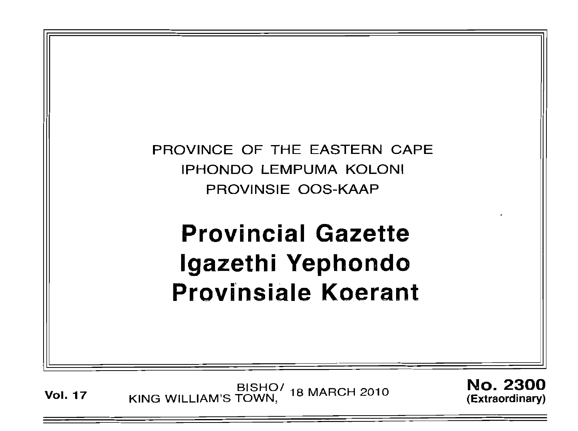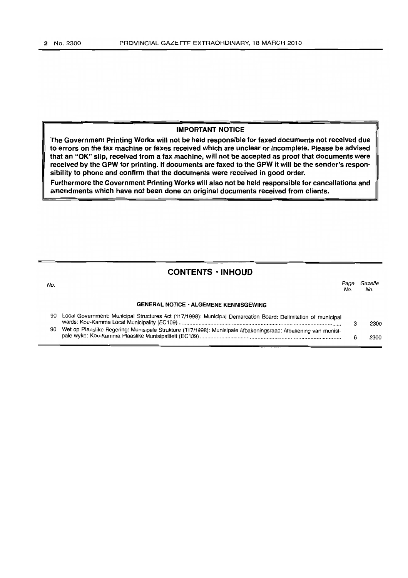#### IMPORTANT NOTICE

The Government Printing Works will not be held responsible for faxed documents not received due to errors on the fax machine or faxes received which are unclear or incomplete. Please be advised that an "OK" slip, received from a fax machine, will not be accepted as proof that documents were received by the GPW for printing. If documents are faxed to the GPW it will be the sender's responsibility to phone and confirm that the documents were received in good order.

Furthermore the Government Printing Works will also not be held responsible for cancellations and amendments which have not been done on original documents received from clients.

### CONTENTS· INHOUD

| No. |                                                                                                                | Pace<br>No. | Gazette<br>No. |
|-----|----------------------------------------------------------------------------------------------------------------|-------------|----------------|
|     | <b>GENERAL NOTICE · ALGEMENE KENNISGEWING</b>                                                                  |             |                |
| 90  | Local Government: Municipal Structures Act (117/1998): Municipal Demarcation Board: Delimitation of municipal  |             | 2300           |
| 90  | Wet op Plaaslike Regering: Munisipale Strukture (117/1998): Munisipale Afbakeningsraad: Afbakening van munisi- |             | 2300           |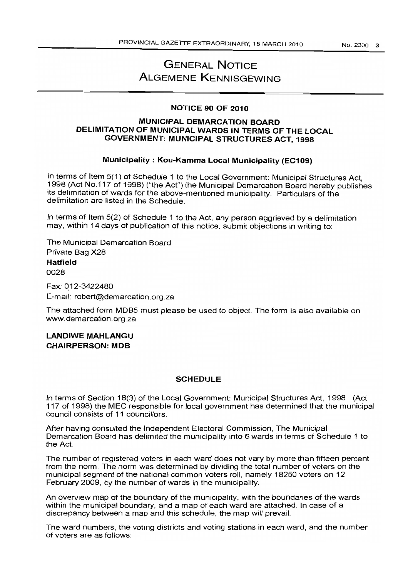# GENERAL NOTICE **ALGEMENE KENNISGEWING**

#### NOTICE 90 OF 2010

#### MUNICIPAL DEMARCATION BOARD DELIMITATION OF MUNICIPAL WARDS IN TERMS OF THE LOCAL GOVERNMENT: MUNICIPAL STRUCTURES ACT, 1998

#### Municipality: Kou-Kamma Local Municipality (EC109)

In terms of Item 5(1) of Schedule 1 to the Local Government: Municipal Structures Act. 1998 (Act NO.117 of 1998) ("the Act") the Municipal Demarcation Board hereby publishes its delimitation of wards for the above-mentioned municipality. Particulars of the delimitation are listed in the Schedule.

In terms of Item 5(2) of Schedule 1 to the Act, any person aggrieved by a delimitation may, within 14 days of publication of this notice, submit objections in writing to:

The Municipal Demarcation Board Private Bag X28 Hatfield 0028

Fax: 012-3422480 E-mail: robert@demarcation.org.za

The attached form MDB5 must please be used to object. The form is also available on www.demarcation.org.za

LANDIWE MAHLANGU CHAIRPERSON: MOB

#### **SCHEDULE**

In terms of Section 18(3) of the Local Government: Municipal Structures Act, 1998 (Act 117 of 1998) the MEC responsible for focal government has determined that the municipal council consists of 11 councillors.

After having consulted the Independent Electoral Commission, The Municipal Demarcation Board has delimited the municipality into 6 wards in terms of Schedule 1 to the Act.

The number of registered voters in each ward does not vary by more than fifteen percent from the norm. The norm was determined by dividing the total number of voters on the municipal segment of the national common voters roll, namely 18250 voters on 12 February 2009, by the number of wards in the municipality.

An overview map of the boundary of the municipality, with the boundaries of the wards within the municipal boundary, and a map of each ward are attached. In case of a discrepancy between a map and this schedule, the map will prevail.

The ward numbers, the voting districts and voting stations in each ward, and the number of voters are as follows: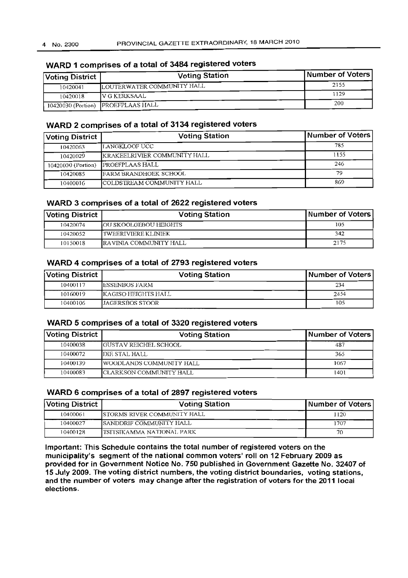## **Voting District Voting Station Number of Voters** 10420041 LOUTERWATER COMMUNITY HALL 2155 10420018 VGKERKSAAL 10420030 (Portion) PROEFPLAAS HALL

## **WARD 1 comprises of a total of 3484 registered voters**

#### **WARD 2 comprises of a total of 3134 registered voters**

| Voting District    | <b>Voting Station</b>            | Number of Voters |
|--------------------|----------------------------------|------------------|
| 10420063           | ILANGKLOOF UCC                   | 785              |
| 10420029           | KRAKEELRIVIER COMMUNITY HALL     | 1155             |
| 10420030 (Portion) | <b>PROEFPLAAS HALL</b>           | 246              |
| 10420085           | FARM BRANDHOEK SCHOOL            | 79               |
| 10400016           | <b>COLDSTREAM COMMUNITY HALL</b> | 869              |

#### **WARD 3 comprises of a total of 2622 registered voters**

| <b>Voting District</b> | <b>Voting Station</b>         | Number of Voters |
|------------------------|-------------------------------|------------------|
| 10420074               | <b>JOU SKOOLGEBOU HEIGHTS</b> | 105              |
| 10420052               | I TWEERIVIERE KLINIEK         | 342              |
| 10150018               | IRAVINIA COMMUNITY HALL       | 2175             |

#### **WARD 4 comprises of a total of 2793 registered voters**

| Voting District | <b>Voting Station</b> | Number of Voters |
|-----------------|-----------------------|------------------|
| 10400117        | IESSENBOS FARM        | 234              |
| 10160019        | IKAGISO HEIGHTS HALL  | 2454             |
| 10400106        | LIAGERSBOS STOOR      | 105              |

#### **WARD 5 comprises of a total of 3320 registered voters**

| Voting District | <b>Voting Station</b>         | Number of Voters |
|-----------------|-------------------------------|------------------|
| 10400038        | <b>IGUSTAV REICHEL SCHOOL</b> | 487              |
| 10400072        | DIE STAL HALL                 | 365              |
| 10400139        | WOODLANDS COMMUNITY HALL      | 1067             |
| 10400083        | ICLARKSON COMMUNITY HALL      | 1401             |

#### **WARD 6 comprises of a total of 2897 registered voters**

| Voting District | <b>Voting Station</b>                    | <b>Number of Voters</b> |
|-----------------|------------------------------------------|-------------------------|
| 10400061        | <b>ISTORMS RIVER COMMUNITY HALL</b>      | 1120                    |
| 10400027        | -----<br><b>ISANDDRIF COMMUNITY HALL</b> | 1707                    |
| 10400128        | <b>ITSITSIKAMMA NATIONAL PARK</b>        | 70                      |

**Important: This Schedule contains the total number of registered voters on the municipality's segment of the national common voters' roll on 12 February 2009 as provided for in Government Notice No. 750 published in Government Gazette No. 32407 of 15 July 2009. The voting district numbers, the voting district boundaries, voting stations, and the number of voters may change after the registration of voters for the 2011 local elections.**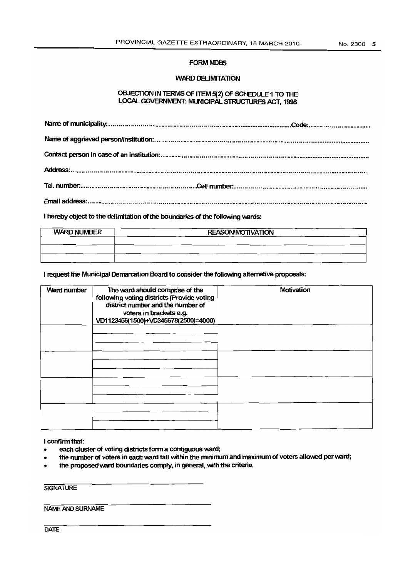#### **FORM MDB5**

#### WARD DELIMITATION

#### OBJECTION IN TERMS OF ITEM 5(2) OF SCHEDULE 1 TO THE LOCAL GOVERNMENT: MUNICIPAL STRUCTURES ACT, 1998

I hereby object to the delimitation of the boundaries of the following wards:

| <b>WARD NUMBER</b> | <b>REASON/MOTIVATION</b> |  |
|--------------------|--------------------------|--|
|                    |                          |  |
|                    |                          |  |
|                    |                          |  |

I request the Municipal Demarcation Board to consider the following alternative proposals:

| Ward number | The ward should comprise of the<br>following voting districts (Provide voting<br>district number and the number of<br>voters in brackets e.g.<br>VD1123456(1500)+VD345678(2500)=4000) | Motivation |
|-------------|---------------------------------------------------------------------------------------------------------------------------------------------------------------------------------------|------------|
|             |                                                                                                                                                                                       |            |
|             |                                                                                                                                                                                       |            |
|             |                                                                                                                                                                                       |            |
|             |                                                                                                                                                                                       |            |

I confinn that:

- each cluster of voting districts form a contiguous ward;
- the number of voters in each ward fall within the minimum and maximum of voters allowed per ward;
- the proposed ward boundaries comply, in general, with the criteria.

**SIGNATURE** 

NAME AND SURNAME

**DATE**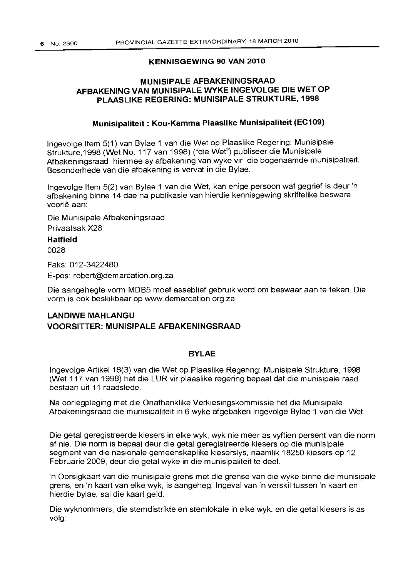#### **KENNISGEWING 90 VAN 2010**

### **MUNISIPALE AFBAKENINGSRAAD AFBAKENING VAN MUNISIPALE WYKE INGEVOLGE DIE WET OP PLAASLIKE REGERING: MUNISIPALE STRUKTURE, 1998**

#### **Munisipaliteit: Kou-Kamma Plaaslike Munisipaliteit (EC109)**

Ingevolge Item 5(1) van Bylae 1 van die Wet op Plaaslike Regering: Munisipale Strukture, 1998 (Wet No. 117 van 1998) ("die Wet") publiseer die Munisipale Afbakeningsraad hiermee sy afbakening van wyke vir die bogenaamde munisipaliteit. Besonderhede van die afbakening is vervat in die Bylae.

Ingevolge Item 5(2) van Bylae 1 van die Wet, kan enige persoon wat gegrief is deur 'n afbakening binne 14 dae na publikasie van hierdie kennisgewing skriftelike besware voorle aan:

Die Munisipale Afbakeningsraad Privaatsak X28

#### **Hatfield**

0028

Faks: 012-3422480

E-pos: robert@demarcation.org.za

Die aangehegte vorm MOBS moet asseblief gebruik word om beswaar aan te teken. Die vorm is ook beskikbaar op www.demarcation.org.za

## **LANDIWE MAHLANGU VOORSITTER: MUNISIPALE AFBAKENINGSRAAD**

#### **BYLAE**

Ingevolge Artikel 18(3) van die Wet op Plaaslike Regering: Munisipale Strukture, 1998 (Wet 117 van 1998) het die LUR vir plaaslike regering bepaal dat die munisipale raad bestaan uit 11 raadslede.

Na oorlegpleging met die Onafhanklike Verkiesingskommissie het die Munisipale Afbakeningsraad die munisipaliteit in 6 wyke afgebaken ingevolge Bylae 1 van die Wet.

Die getal geregistreerde kiesers in elke wyk, wyk nie meer as vyftien persent van die norm af nie. Die norm is bepaal deur die getal geregistreerde kiesers op die munisipale segment van die nasionale gemeenskaplike kieserslys, naamlik 18250 kiesers op 12 Februarie 2009, deur die getal wyke in die munisipaliteit te deal.

'n Oorsigkaart van die munisipale grens met die grense van die wyke binne die munisipale grens, en 'n kaart van elke wyk, is aangeheg. Ingeval van 'n verskil tussen 'n kaart en hierdie bylae, sal die kaart geld.

Die wyknommers, die stemdistrikte en sternlokale in elke wyk, en die getal kiesers is as volg: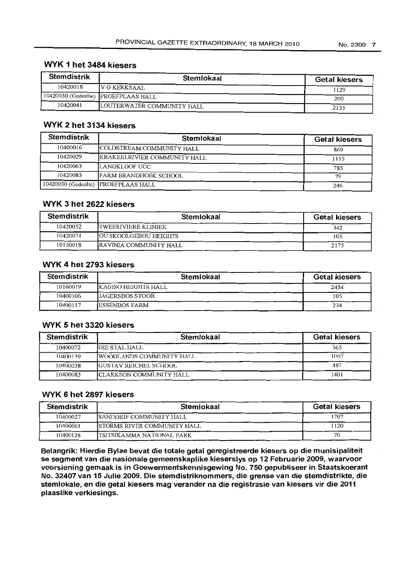## WYK 1 het 3484 kiesers

| <b>Stemdistrik</b> | Stemlokaal                          | <b>Getal kiesers</b> |
|--------------------|-------------------------------------|----------------------|
| 10420018           | IV G KERKSAAL                       | 1129                 |
|                    | 10420030 (Gedeelte) PROEFPLAAS HALL | 200                  |
| 10420041           | LOUTERWATER COMMUNITY HALL          | 2155                 |

## WYK 2 het 3134 kiesers

| <b>Stemdistrik</b> | Stemlokaal                          | <b>Getal kiesers</b> |
|--------------------|-------------------------------------|----------------------|
| 10400016           | COLDSTREAM COMMUNITY HALL           | 869                  |
| 10420029           | KRAKEELRIVIER COMMUNITY HALL        | 1155                 |
| 10420063           | LANGKLOOF UCC                       | 785                  |
| 10420085           | <b>FARM BRANDHOEK SCHOOL</b>        | 79                   |
|                    | 10420030 (Gedeelte) PROEFPLAAS HALL | 246                  |

### WYK 3 het 2622 kiesers

| <b>Stemdistrik</b> | Stemlokaal                    | <b>Getal kiesers</b> |
|--------------------|-------------------------------|----------------------|
| 10420052           | TWEERIVIERE KLINTEK           | 342                  |
| 10420074           | <b>JOU SKOOLGEBOU HEIGHTS</b> | 105                  |
| 10150018           | RAVINIA COMMUNITY HALL        | 2175                 |

### WYK 4 het 2793 kiesers

| <b>Stemdistrik</b> | Stemlokaal             | <b>Getal kiesers</b> |
|--------------------|------------------------|----------------------|
| 10160019           | IKAGISO HEIGHTS HALL   | 2454                 |
| 10400106           | <b>JAGERSBOS STOOR</b> | 105                  |
| 10400117           | <b>ESSENBOS FARM</b>   | 234                  |

### WYK 5 het 3320 kiesers

| <b>Stemdistrik</b> | Stemlokaal                       | <b>Getal kiesers</b> |
|--------------------|----------------------------------|----------------------|
| 10400072           | DIE STAL HALL                    | 365                  |
| 10400139           | <b>IWOODLANDS COMMUNITY HALL</b> | 1067                 |
| 10400038           | <b>GUSTAV REICHEL SCHOOL</b>     | 487                  |
| 10400083           | ICLARKSON COMMUNITY HALL         | 1401                 |

### WYK 6 het 2897 kiesers

| <b>Stemdistrik</b> | Stemlokaal                          | <b>Getal kiesers</b> |
|--------------------|-------------------------------------|----------------------|
| 10400027           | <b>ISANDDRIF COMMUNITY HALL</b>     | 1707                 |
| 10400061           | <b>ISTORMS RIVER COMMUNITY HALL</b> | 1120                 |
| 10400128           | ITSITSIKAMMA NATIONAL PARK          | 70                   |

Belangrik: Hierdie Bylae bevat die totale getal geregistreerde kiesers op die munisipaliteit se segment van die nasionale gemeenskaplike kieserslys op 12 Februarie 2009, waarvoor voorsiening gemaak is in Goewermentskennisgewing No. 750 gepubliseer in Staatskoerant No. 32407 van 15 Julie 2009. Die stemdistriknommers, die grense van die stemdistrikte, die stemlokale, en die getal kiesers mag verander na die registrasie van kiesers vir die 2011 plaaslike verkiesings.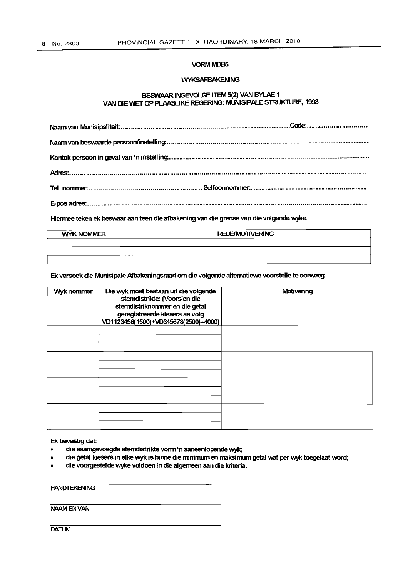#### VORMIVDB5

#### **WYKSAFBAKENING**

#### BESWAAR INGEVOLGE ITEM 5(2) VAN BYLAE 1 VAN DIE WET OP PLAASLIKE REGERING: MUNISIPALE STRUKTURE, 1998

Hiermee teken ek beswaar aan teen die afbakening van die grense van die volgende wyke:

| <b>WYK NOMMER</b> | <b>REDE/MOTIVERING</b> |  |
|-------------------|------------------------|--|
|                   |                        |  |
|                   |                        |  |
|                   |                        |  |

Ek versoek die Munisipale Afbakeningsraad om die volgende alternatiewe voorstelle te oorweeg:

| Wyk nommer | Die wyk moet bestaan uit die volgende<br>stemdistrikte: (Voorsien die<br>stemdistriknommer en die getal<br>geregistreerde kiesers as volg<br>VD1123456(1500)+VD345678(2500)=4000) | Motivening |
|------------|-----------------------------------------------------------------------------------------------------------------------------------------------------------------------------------|------------|
|            |                                                                                                                                                                                   |            |
|            |                                                                                                                                                                                   |            |
|            |                                                                                                                                                                                   |            |
|            |                                                                                                                                                                                   |            |

#### Ek bevestig dat:

- die saamgevoegde stemdistrikte vonn 'n aaneenlopende wyk;
- die getal kiesers in elke wyk is binne die minimum en maksimum getal wat per wyk toegelaat word;
- die voorgestelde wyke voldoen in die algemeen aan die kriteria.

#### **HANDTEKENING**

### NAAM EN VAN

**DATUM**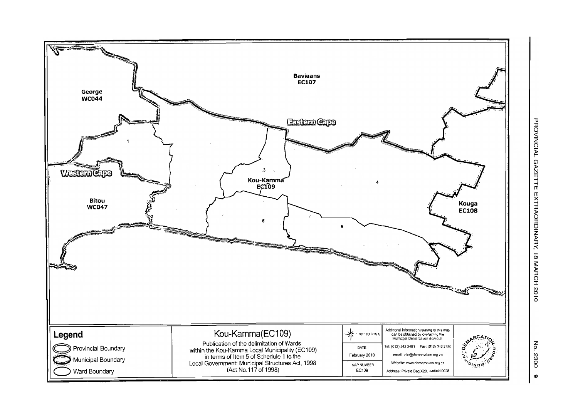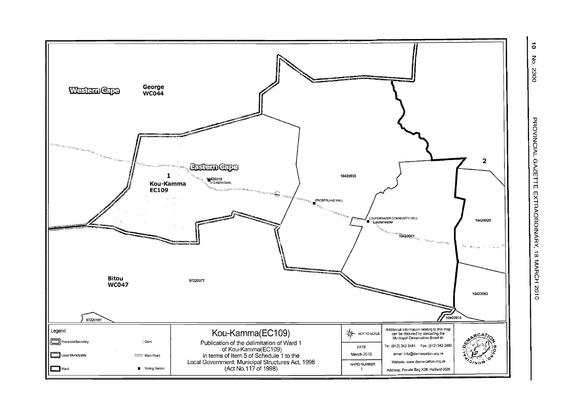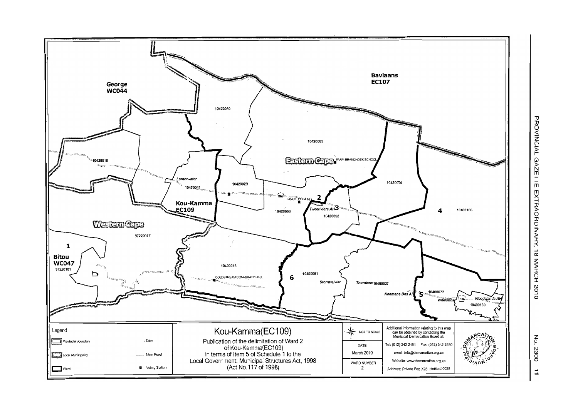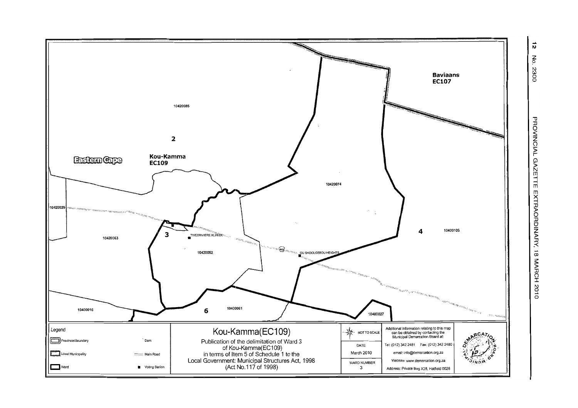

PROVINCIAL GAZETTE EXTRAORDINARY, 18 MARCH 2010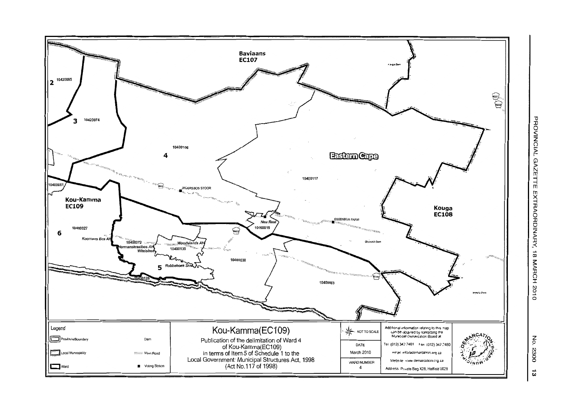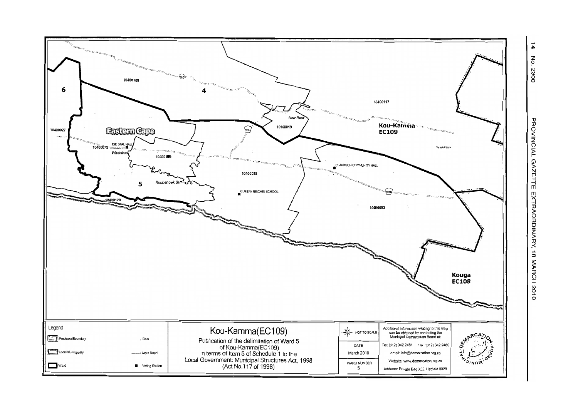

 $\vec{4}$ <u>Р</u> - 2300